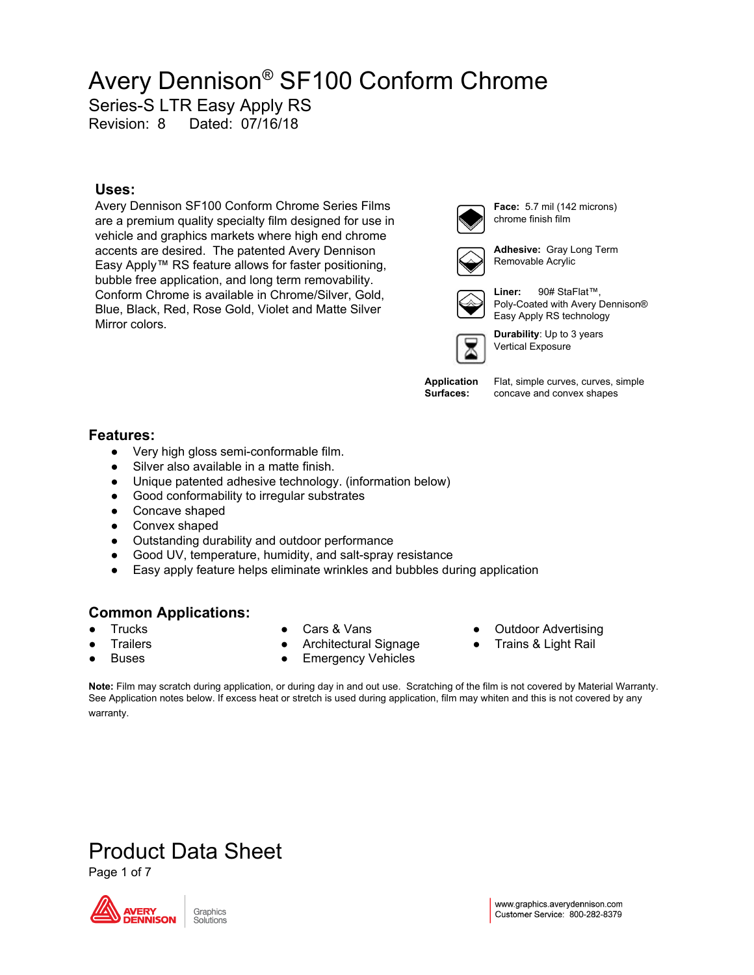Series-S LTR Easy Apply RS

Revision: 8 Dated: 07/16/18

#### **Uses:**

Avery Dennison SF100 Conform Chrome Series Films are a premium quality specialty film designed for use in vehicle and graphics markets where high end chrome accents are desired. The patented Avery Dennison Easy Apply™ RS feature allows for faster positioning, bubble free application, and long term removability. Conform Chrome is available in Chrome/Silver, Gold, Blue, Black, Red, Rose Gold, Violet and Matte Silver Mirror colors.



**Face:** 5.7 mil (142 microns) chrome finish film



**Adhesive:** Gray Long Term Removable Acrylic



**Liner:** 90# StaFlat™, Poly-Coated with Avery Dennison® Easy Apply RS technology



**Durability**: Up to 3 years Vertical Exposure

**Application Surfaces:**

Flat, simple curves, curves, simple concave and convex shapes

#### **Features:**

- Very high gloss semi-conformable film.
- Silver also available in a matte finish.
- Unique patented adhesive technology. (information below)
- Good conformability to irregular substrates
- Concave shaped
- Convex shaped
- Outstanding durability and outdoor performance
- Good UV, temperature, humidity, and salt-spray resistance
- Easy apply feature helps eliminate wrinkles and bubbles during application

#### **Common Applications:**

Product Data Sheet

**Trucks** 

Cars & Vans

**Trailers** 

- 
- Architectural Signage

**Note:** Film may scratch during application, or during day in and out use. Scratching of the film is not covered by Material Warranty. See Application notes below. If excess heat or stretch is used during application, film may whiten and this is not covered by any

- **Emergency Vehicles**
- **Outdoor Advertising**
- Trains & Light Rail

**Buses** 

Page 1 of 7

DENNISON

warranty.

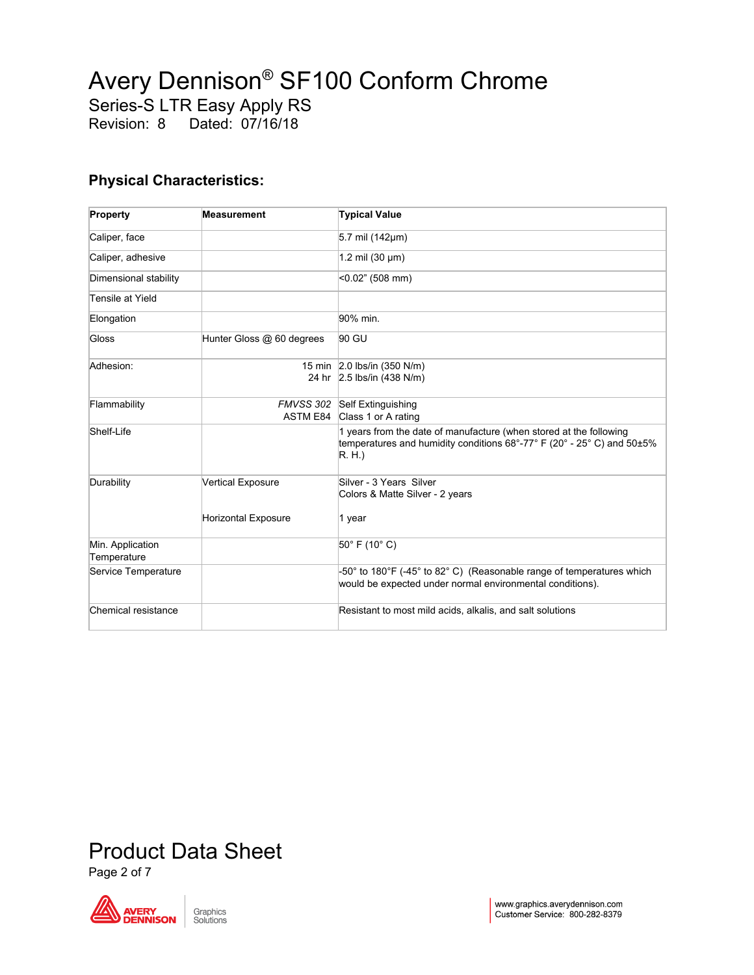Series-S LTR Easy Apply RS

Revision: 8 Dated: 07/16/18

#### **Physical Characteristics:**

| Property                        | <b>Measurement</b>         | <b>Typical Value</b>                                                                                                                                 |  |  |
|---------------------------------|----------------------------|------------------------------------------------------------------------------------------------------------------------------------------------------|--|--|
| Caliper, face                   |                            | 5.7 mil $(142 \mu m)$                                                                                                                                |  |  |
| Caliper, adhesive               |                            | 1.2 mil $(30 \mu m)$                                                                                                                                 |  |  |
| Dimensional stability           |                            | $<$ 0.02" (508 mm)                                                                                                                                   |  |  |
| Tensile at Yield                |                            |                                                                                                                                                      |  |  |
| Elongation                      |                            | 90% min.                                                                                                                                             |  |  |
| Gloss                           | Hunter Gloss @ 60 degrees  | 90 GU                                                                                                                                                |  |  |
| Adhesion:                       |                            | 15 min 2.0 lbs/in (350 N/m)<br>24 hr 2.5 lbs/in (438 N/m)                                                                                            |  |  |
| Flammability                    |                            | FMVSS 302 Self Extinguishing<br>ASTM E84 Class 1 or A rating                                                                                         |  |  |
| Shelf-Life                      |                            | 1 years from the date of manufacture (when stored at the following<br>temperatures and humidity conditions 68°-77° F (20° - 25° C) and 50±5%<br>R.H. |  |  |
| Durability                      | <b>Vertical Exposure</b>   | Silver - 3 Years Silver<br>Colors & Matte Silver - 2 years                                                                                           |  |  |
|                                 | <b>Horizontal Exposure</b> | 1 year                                                                                                                                               |  |  |
| Min. Application<br>Temperature |                            | $50^{\circ}$ F (10 $^{\circ}$ C)                                                                                                                     |  |  |
| Service Temperature             |                            | $-50^{\circ}$ to 180°F (-45° to 82°C) (Reasonable range of temperatures which<br>would be expected under normal environmental conditions).           |  |  |
| Chemical resistance             |                            | Resistant to most mild acids, alkalis, and salt solutions                                                                                            |  |  |

## Product Data Sheet

Page 2 of 7

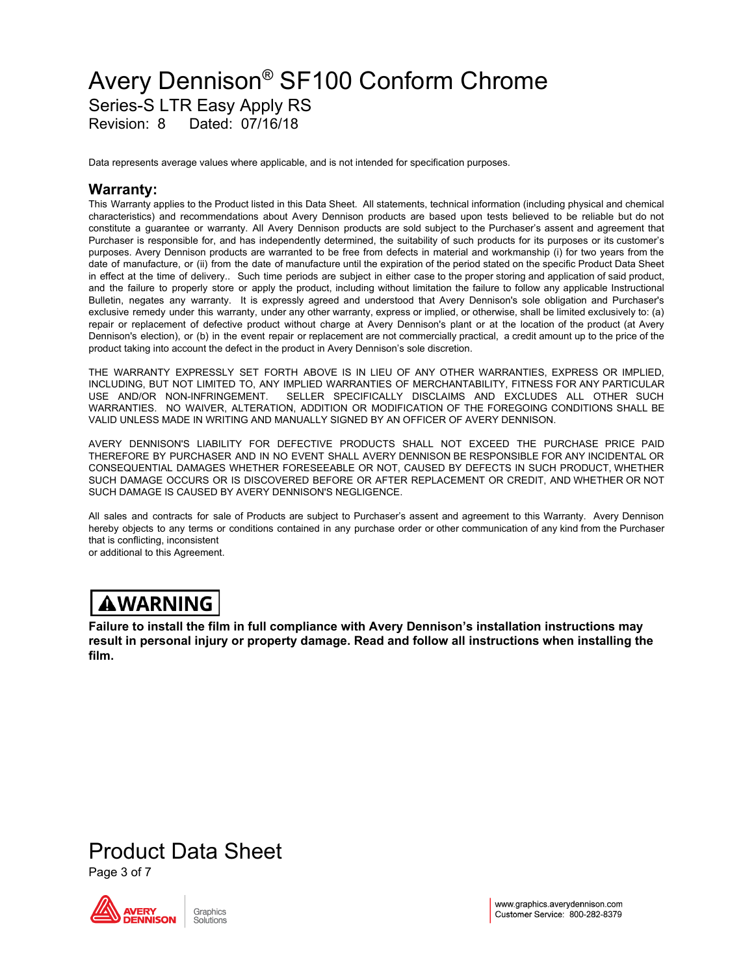### Avery Dennison ® SF100 Conform Chrome Series-S LTR Easy Apply RS Revision: 8 Dated: 07/16/18

Data represents average values where applicable, and is not intended for specification purposes.

#### **Warranty:**

This Warranty applies to the Product listed in this Data Sheet. All statements, technical information (including physical and chemical characteristics) and recommendations about Avery Dennison products are based upon tests believed to be reliable but do not constitute a guarantee or warranty. All Avery Dennison products are sold subject to the Purchaser's assent and agreement that Purchaser is responsible for, and has independently determined, the suitability of such products for its purposes or its customer's purposes. Avery Dennison products are warranted to be free from defects in material and workmanship (i) for two years from the date of manufacture, or (ii) from the date of manufacture until the expiration of the period stated on the specific Product Data Sheet in effect at the time of delivery.. Such time periods are subject in either case to the proper storing and application of said product, and the failure to properly store or apply the product, including without limitation the failure to follow any applicable Instructional Bulletin, negates any warranty. It is expressly agreed and understood that Avery Dennison's sole obligation and Purchaser's exclusive remedy under this warranty, under any other warranty, express or implied, or otherwise, shall be limited exclusively to: (a) repair or replacement of defective product without charge at Avery Dennison's plant or at the location of the product (at Avery Dennison's election), or (b) in the event repair or replacement are not commercially practical, a credit amount up to the price of the product taking into account the defect in the product in Avery Dennison's sole discretion.

THE WARRANTY EXPRESSLY SET FORTH ABOVE IS IN LIEU OF ANY OTHER WARRANTIES, EXPRESS OR IMPLIED, INCLUDING, BUT NOT LIMITED TO, ANY IMPLIED WARRANTIES OF MERCHANTABILITY, FITNESS FOR ANY PARTICULAR USE AND/OR NON-INFRINGEMENT. SELLER SPECIFICALLY DISCLAIMS AND EXCLUDES ALL OTHER SUCH WARRANTIES. NO WAIVER, ALTERATION, ADDITION OR MODIFICATION OF THE FOREGOING CONDITIONS SHALL BE VALID UNLESS MADE IN WRITING AND MANUALLY SIGNED BY AN OFFICER OF AVERY DENNISON.

AVERY DENNISON'S LIABILITY FOR DEFECTIVE PRODUCTS SHALL NOT EXCEED THE PURCHASE PRICE PAID THEREFORE BY PURCHASER AND IN NO EVENT SHALL AVERY DENNISON BE RESPONSIBLE FOR ANY INCIDENTAL OR CONSEQUENTIAL DAMAGES WHETHER FORESEEABLE OR NOT, CAUSED BY DEFECTS IN SUCH PRODUCT, WHETHER SUCH DAMAGE OCCURS OR IS DISCOVERED BEFORE OR AFTER REPLACEMENT OR CREDIT, AND WHETHER OR NOT SUCH DAMAGE IS CAUSED BY AVERY DENNISON'S NEGLIGENCE.

All sales and contracts for sale of Products are subject to Purchaser's assent and agreement to this Warranty. Avery Dennison hereby objects to any terms or conditions contained in any purchase order or other communication of any kind from the Purchaser that is conflicting, inconsistent or additional to this Agreement.

### **AWARNING**

**Failure to install the film in full compliance with Avery Dennison's installation instructions may result in personal injury or property damage. Read and follow all instructions when installing the film.**

## Product Data Sheet

Page 3 of 7

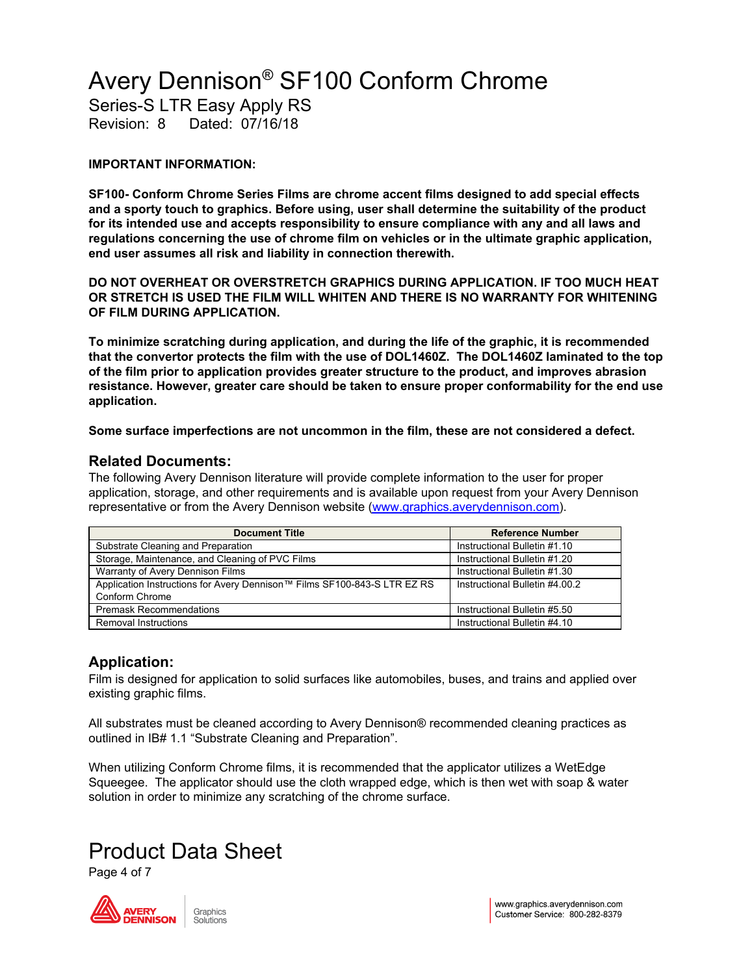Series-S LTR Easy Apply RS

Revision: 8 Dated: 07/16/18

#### **IMPORTANT INFORMATION:**

**SF100- Conform Chrome Series Films are chrome accent films designed to add special effects and a sporty touch to graphics. Before using, user shall determine the suitability of the product for its intended use and accepts responsibility to ensure compliance with any and all laws and regulations concerning the use of chrome film on vehicles or in the ultimate graphic application, end user assumes all risk and liability in connection therewith.**

**DO NOT OVERHEAT OR OVERSTRETCH GRAPHICS DURING APPLICATION. IF TOO MUCH HEAT OR STRETCH IS USED THE FILM WILL WHITEN AND THERE IS NO WARRANTY FOR WHITENING OF FILM DURING APPLICATION.**

**To minimize scratching during application, and during the life of the graphic, it is recommended that the convertor protects the film with the use of DOL1460Z. The DOL1460Z laminated to the top of the film prior to application provides greater structure to the product, and improves abrasion resistance. However, greater care should be taken to ensure proper conformability for the end use application.**

**Some surface imperfections are not uncommon in the film, these are not considered a defect.**

#### **Related Documents:**

The following Avery Dennison literature will provide complete information to the user for proper application, storage, and other requirements and is available upon request from your Avery Dennison representative or from the Avery Dennison website [\(www.graphics.averydennison.com](http://www.graphics.averydennison.com/)).

| <b>Document Title</b>                                                    | <b>Reference Number</b>        |
|--------------------------------------------------------------------------|--------------------------------|
| Substrate Cleaning and Preparation                                       | Instructional Bulletin #1.10   |
| Storage, Maintenance, and Cleaning of PVC Films                          | Instructional Bulletin #1.20   |
| Warranty of Avery Dennison Films                                         | Instructional Bulletin #1.30   |
| Application Instructions for Avery Dennison™ Films SF100-843-S LTR EZ RS | Instructional Bulletin #4,00.2 |
| Conform Chrome                                                           |                                |
| <b>Premask Recommendations</b>                                           | Instructional Bulletin #5.50   |
| Removal Instructions                                                     | Instructional Bulletin #4.10   |

#### **Application:**

Film is designed for application to solid surfaces like automobiles, buses, and trains and applied over existing graphic films.

All substrates must be cleaned according to Avery Dennison® recommended cleaning practices as outlined in IB# 1.1 "Substrate Cleaning and Preparation".

When utilizing Conform Chrome films, it is recommended that the applicator utilizes a WetEdge Squeegee. The applicator should use the cloth wrapped edge, which is then wet with soap & water solution in order to minimize any scratching of the chrome surface.

### Product Data Sheet

Page 4 of 7

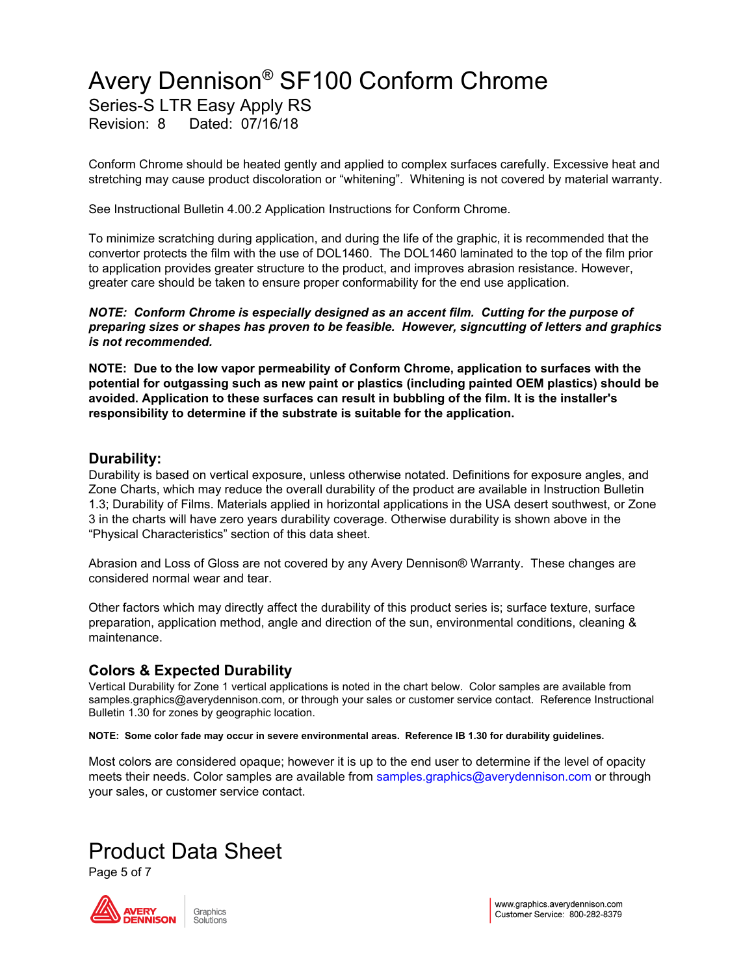Series-S LTR Easy Apply RS

Revision: 8 Dated: 07/16/18

Conform Chrome should be heated gently and applied to complex surfaces carefully. Excessive heat and stretching may cause product discoloration or "whitening". Whitening is not covered by material warranty.

See Instructional Bulletin 4.00.2 Application Instructions for Conform Chrome.

To minimize scratching during application, and during the life of the graphic, it is recommended that the convertor protects the film with the use of DOL1460. The DOL1460 laminated to the top of the film prior to application provides greater structure to the product, and improves abrasion resistance. However, greater care should be taken to ensure proper conformability for the end use application.

*NOTE: Conform Chrome is especially designed as an accent film. Cutting for the purpose of preparing sizes or shapes has proven to be feasible. However, signcutting of letters and graphics is not recommended.*

**NOTE: Due to the low vapor permeability of Conform Chrome, application to surfaces with the potential for outgassing such as new paint or plastics (including painted OEM plastics) should be avoided. Application to these surfaces can result in bubbling of the film. It is the installer's responsibility to determine if the substrate is suitable for the application.**

#### **Durability:**

Durability is based on vertical exposure, unless otherwise notated. Definitions for exposure angles, and Zone Charts, which may reduce the overall durability of the product are available in Instruction Bulletin 1.3; Durability of Films. Materials applied in horizontal applications in the USA desert southwest, or Zone 3 in the charts will have zero years durability coverage. Otherwise durability is shown above in the "Physical Characteristics" section of this data sheet.

Abrasion and Loss of Gloss are not covered by any Avery Dennison® Warranty. These changes are considered normal wear and tear.

Other factors which may directly affect the durability of this product series is; surface texture, surface preparation, application method, angle and direction of the sun, environmental conditions, cleaning & maintenance.

#### **Colors & Expected Durability**

Vertical Durability for Zone 1 vertical applications is noted in the chart below. Color samples are available from samples.graphics@averydennison.com, or through your sales or customer service contact. Reference Instructional Bulletin 1.30 for zones by geographic location.

**NOTE: Some color fade may occur in severe environmental areas. Reference IB 1.30 for durability guidelines.**

Most colors are considered opaque; however it is up to the end user to determine if the level of opacity meets their needs. Color samples are available from samples.graphics@averydennison.com or through your sales, or customer service contact.

## Product Data Sheet

Page 5 of 7

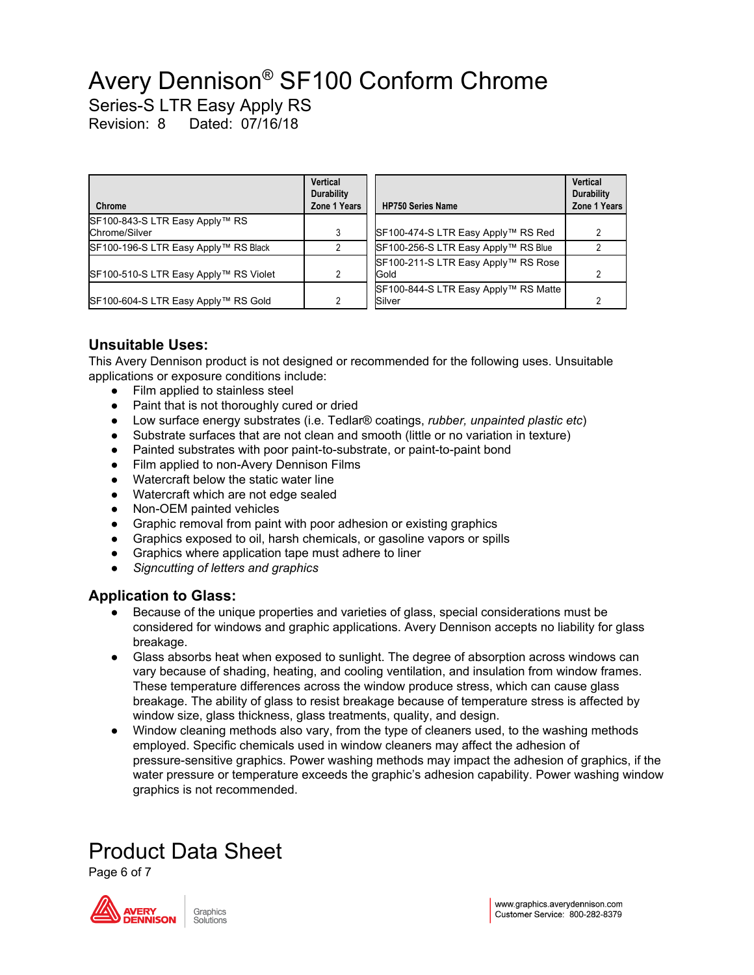Series-S LTR Easy Apply RS

Revision: 8 Dated: 07/16/18

| Chrome                                | Vertical<br><b>Durability</b><br>Zone 1 Years | <b>HP750 Series Name</b>             | Vertical<br><b>Durability</b><br>Zone 1 Ye |
|---------------------------------------|-----------------------------------------------|--------------------------------------|--------------------------------------------|
| SF100-843-S LTR Easy Apply™ RS        |                                               |                                      |                                            |
| Chrome/Silver                         |                                               | SF100-474-S LTR Easy Apply™ RS Red   |                                            |
| SF100-196-S LTR Easy Apply™ RS Black  |                                               | SF100-256-S LTR Easy Apply™ RS Blue  |                                            |
|                                       |                                               | SF100-211-S LTR Easy Apply™ RS Rose  |                                            |
| SF100-510-S LTR Easy Apply™ RS Violet | 2                                             | Gold                                 |                                            |
|                                       |                                               | SF100-844-S LTR Easy Apply™ RS Matte |                                            |
| SF100-604-S LTR Easy Apply™ RS Gold   | 2                                             | Silver                               |                                            |

#### **Unsuitable Uses:**

This Avery Dennison product is not designed or recommended for the following uses. Unsuitable applications or exposure conditions include:

- Film applied to stainless steel
- Paint that is not thoroughly cured or dried
- Low surface energy substrates (i.e. Tedlar® coatings, *rubber, unpainted plastic etc*)
- Substrate surfaces that are not clean and smooth (little or no variation in texture)
- Painted substrates with poor paint-to-substrate, or paint-to-paint bond
- Film applied to non-Avery Dennison Films
- Watercraft below the static water line
- Watercraft which are not edge sealed
- Non-OEM painted vehicles
- Graphic removal from paint with poor adhesion or existing graphics
- Graphics exposed to oil, harsh chemicals, or gasoline vapors or spills
- Graphics where application tape must adhere to liner
- *Signcutting of letters and graphics*

#### **Application to Glass:**

- Because of the unique properties and varieties of glass, special considerations must be considered for windows and graphic applications. Avery Dennison accepts no liability for glass breakage.
- Glass absorbs heat when exposed to sunlight. The degree of absorption across windows can vary because of shading, heating, and cooling ventilation, and insulation from window frames. These temperature differences across the window produce stress, which can cause glass breakage. The ability of glass to resist breakage because of temperature stress is affected by window size, glass thickness, glass treatments, quality, and design.
- Window cleaning methods also vary, from the type of cleaners used, to the washing methods employed. Specific chemicals used in window cleaners may affect the adhesion of pressure-sensitive graphics. Power washing methods may impact the adhesion of graphics, if the water pressure or temperature exceeds the graphic's adhesion capability. Power washing window graphics is not recommended.

## Product Data Sheet

Page 6 of 7



**Zone 1 Years**